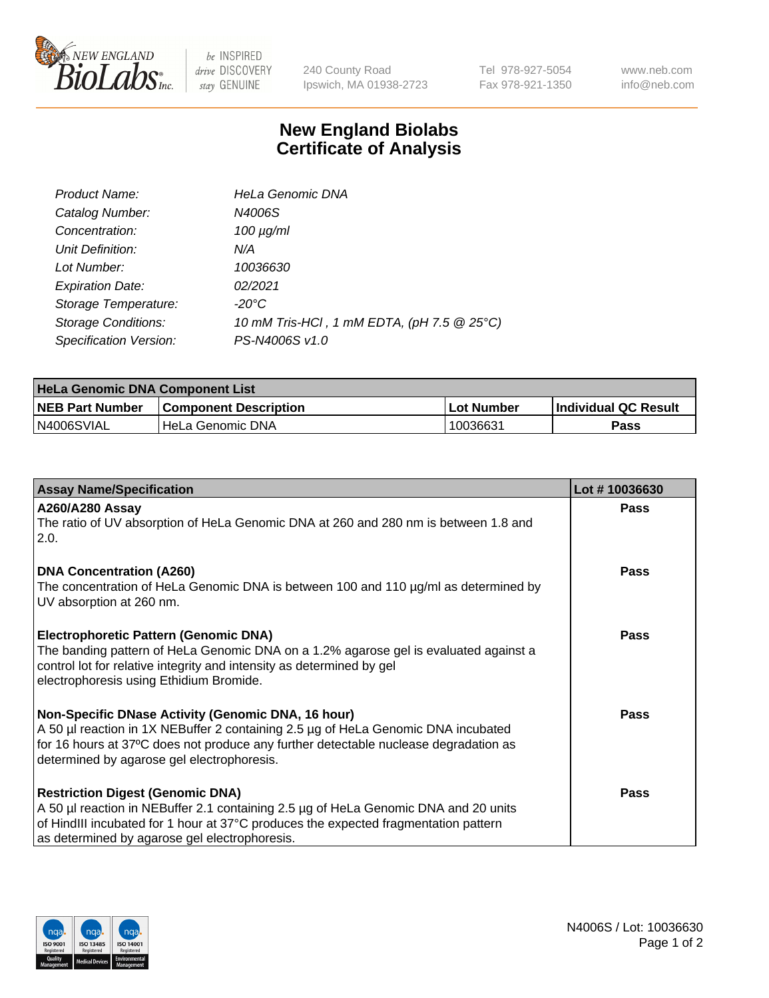

 $be$  INSPIRED drive DISCOVERY stay GENUINE

240 County Road Ipswich, MA 01938-2723 Tel 978-927-5054 Fax 978-921-1350 www.neb.com info@neb.com

## **New England Biolabs Certificate of Analysis**

| Product Name:              | <b>HeLa Genomic DNA</b>                    |
|----------------------------|--------------------------------------------|
| Catalog Number:            | N4006S                                     |
| Concentration:             | $100 \mu g/ml$                             |
| Unit Definition:           | N/A                                        |
| Lot Number:                | 10036630                                   |
| <b>Expiration Date:</b>    | 02/2021                                    |
| Storage Temperature:       | -20°C                                      |
| <b>Storage Conditions:</b> | 10 mM Tris-HCl, 1 mM EDTA, (pH 7.5 @ 25°C) |
| Specification Version:     | PS-N4006S v1.0                             |

| <b>HeLa Genomic DNA Component List</b> |                              |            |                      |  |
|----------------------------------------|------------------------------|------------|----------------------|--|
| <b>NEB Part Number</b>                 | <b>Component Description</b> | Lot Number | Individual QC Result |  |
| N4006SVIAL                             | l HeLa Genomic DNA           | 10036631   | Pass                 |  |

| <b>Assay Name/Specification</b>                                                                                                                                                                                                                                               | Lot #10036630 |
|-------------------------------------------------------------------------------------------------------------------------------------------------------------------------------------------------------------------------------------------------------------------------------|---------------|
| <b>A260/A280 Assay</b><br>The ratio of UV absorption of HeLa Genomic DNA at 260 and 280 nm is between 1.8 and<br>2.0.                                                                                                                                                         | <b>Pass</b>   |
| <b>DNA Concentration (A260)</b><br>The concentration of HeLa Genomic DNA is between 100 and 110 µg/ml as determined by<br>UV absorption at 260 nm.                                                                                                                            | <b>Pass</b>   |
| <b>Electrophoretic Pattern (Genomic DNA)</b><br>The banding pattern of HeLa Genomic DNA on a 1.2% agarose gel is evaluated against a<br>control lot for relative integrity and intensity as determined by gel<br>electrophoresis using Ethidium Bromide.                      | Pass          |
| Non-Specific DNase Activity (Genomic DNA, 16 hour)<br>A 50 µl reaction in 1X NEBuffer 2 containing 2.5 µg of HeLa Genomic DNA incubated<br>for 16 hours at 37°C does not produce any further detectable nuclease degradation as<br>determined by agarose gel electrophoresis. | <b>Pass</b>   |
| <b>Restriction Digest (Genomic DNA)</b><br>A 50 µl reaction in NEBuffer 2.1 containing 2.5 µg of HeLa Genomic DNA and 20 units<br>of HindIII incubated for 1 hour at 37°C produces the expected fragmentation pattern<br>as determined by agarose gel electrophoresis.        | <b>Pass</b>   |